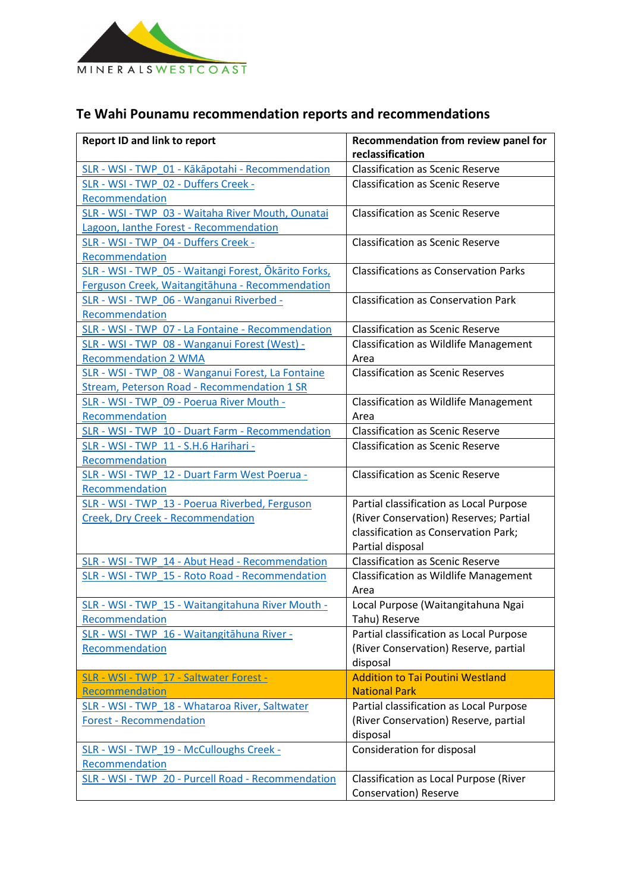

## **Te Wahi Pounamu recommendation reports and recommendations**

| <b>Report ID and link to report</b>                        | Recommendation from review panel for<br>reclassification        |
|------------------------------------------------------------|-----------------------------------------------------------------|
| SLR - WSI - TWP 01 - Kākāpotahi - Recommendation           | <b>Classification as Scenic Reserve</b>                         |
| SLR - WSI - TWP 02 - Duffers Creek -<br>Recommendation     | <b>Classification as Scenic Reserve</b>                         |
| SLR - WSI - TWP 03 - Waitaha River Mouth, Ounatai          | <b>Classification as Scenic Reserve</b>                         |
| Lagoon, lanthe Forest - Recommendation                     | <b>Classification as Scenic Reserve</b>                         |
| SLR - WSI - TWP_04 - Duffers Creek -<br>Recommendation     |                                                                 |
| SLR - WSI - TWP_05 - Waitangi Forest, Ōkārito Forks,       | <b>Classifications as Conservation Parks</b>                    |
| Ferguson Creek, Waitangitāhuna - Recommendation            |                                                                 |
| SLR - WSI - TWP_06 - Wanganui Riverbed -<br>Recommendation | <b>Classification as Conservation Park</b>                      |
| SLR - WSI - TWP 07 - La Fontaine - Recommendation          | <b>Classification as Scenic Reserve</b>                         |
| SLR - WSI - TWP 08 - Wanganui Forest (West) -              | <b>Classification as Wildlife Management</b>                    |
| <b>Recommendation 2 WMA</b>                                | Area                                                            |
| SLR - WSI - TWP 08 - Wanganui Forest, La Fontaine          | <b>Classification as Scenic Reserves</b>                        |
| Stream, Peterson Road - Recommendation 1 SR                |                                                                 |
| SLR - WSI - TWP 09 - Poerua River Mouth -                  | <b>Classification as Wildlife Management</b>                    |
| Recommendation                                             | Area                                                            |
| SLR - WSI - TWP 10 - Duart Farm - Recommendation           | <b>Classification as Scenic Reserve</b>                         |
| SLR - WSI - TWP 11 - S.H.6 Harihari -                      | <b>Classification as Scenic Reserve</b>                         |
| Recommendation                                             |                                                                 |
| SLR - WSI - TWP 12 - Duart Farm West Poerua -              | <b>Classification as Scenic Reserve</b>                         |
| Recommendation                                             |                                                                 |
| SLR - WSI - TWP 13 - Poerua Riverbed, Ferguson             | Partial classification as Local Purpose                         |
| Creek, Dry Creek - Recommendation                          | (River Conservation) Reserves; Partial                          |
|                                                            | classification as Conservation Park;                            |
|                                                            | Partial disposal                                                |
| SLR - WSI - TWP 14 - Abut Head - Recommendation            | <b>Classification as Scenic Reserve</b>                         |
| SLR - WSI - TWP 15 - Roto Road - Recommendation            | <b>Classification as Wildlife Management</b><br>Area            |
| SLR - WSI - TWP 15 - Waitangitahuna River Mouth -          | Local Purpose (Waitangitahuna Ngai                              |
| Recommendation                                             | Tahu) Reserve                                                   |
| SLR - WSI - TWP 16 - Waitangitāhuna River -                | Partial classification as Local Purpose                         |
| Recommendation                                             | (River Conservation) Reserve, partial                           |
|                                                            | disposal                                                        |
| SLR - WSI - TWP 17 - Saltwater Forest -                    | <b>Addition to Tai Poutini Westland</b>                         |
| Recommendation                                             | <b>National Park</b>                                            |
| SLR - WSI - TWP 18 - Whataroa River, Saltwater             | Partial classification as Local Purpose                         |
| <b>Forest - Recommendation</b>                             | (River Conservation) Reserve, partial                           |
|                                                            | disposal                                                        |
| SLR - WSI - TWP 19 - McCulloughs Creek -                   | Consideration for disposal                                      |
| Recommendation                                             |                                                                 |
| SLR - WSI - TWP 20 - Purcell Road - Recommendation         | Classification as Local Purpose (River<br>Conservation) Reserve |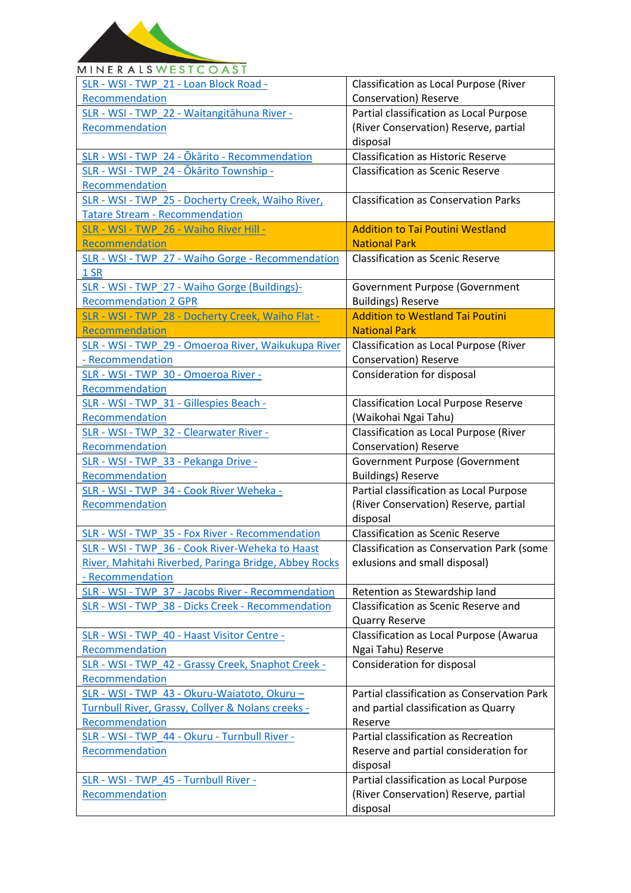

## **MINERALSWESTCOAST** SLR - WSI - TWP\_21 - [Loan Block Road](https://ftp.doc.govt.nz/public/folder/QoaMQSDPtUywKLkTQUFq0Q/recommendations/te-wahi-pounamu-place/SLR%20-%20WSI%20-%20TWP_21%20-%20Loan%20Block%20Road%20-%20Recommendation.pdf) - Classification as Local Purpose (River [Recommendation](https://ftp.doc.govt.nz/public/folder/QoaMQSDPtUywKLkTQUFq0Q/recommendations/te-wahi-pounamu-place/SLR%20-%20WSI%20-%20TWP_21%20-%20Loan%20Block%20Road%20-%20Recommendation.pdf) Conservation) Reserve SLR - WSI - TWP\_22 - [Waitangitāhuna River](https://ftp.doc.govt.nz/public/folder/QoaMQSDPtUywKLkTQUFq0Q/recommendations/te-wahi-pounamu-place/SLR%20-%20WSI%20-%20TWP_22%20-%20Waitangit%C4%81huna%20River%20-%20Recommendation.pdf) - Partial classification as Local Purpose [Recommendation](https://ftp.doc.govt.nz/public/folder/QoaMQSDPtUywKLkTQUFq0Q/recommendations/te-wahi-pounamu-place/SLR%20-%20WSI%20-%20TWP_22%20-%20Waitangit%C4%81huna%20River%20-%20Recommendation.pdf) (River Conservation) Reserve, partial disposal SLR - WSI - TWP\_24 - Ōkārito - [Recommendation](https://ftp.doc.govt.nz/public/folder/QoaMQSDPtUywKLkTQUFq0Q/recommendations/te-wahi-pounamu-place/SLR%20-%20WSI%20-%20TWP_24%20-%20%C5%8Ck%C4%81rito%20-%20Recommendation.pdf) | Classification as Historic Reserve SLR - WSI - TWP\_24 - [Ōkārito Township](https://ftp.doc.govt.nz/public/folder/QoaMQSDPtUywKLkTQUFq0Q/recommendations/te-wahi-pounamu-place/SLR%20-%20WSI%20-%20TWP_24%20-%20%C5%8Ck%C4%81rito%20Township%20-%20Recommendation.pdf) - Classification as Scenic Reserve [Recommendation](https://ftp.doc.govt.nz/public/folder/QoaMQSDPtUywKLkTQUFq0Q/recommendations/te-wahi-pounamu-place/SLR%20-%20WSI%20-%20TWP_24%20-%20%C5%8Ck%C4%81rito%20Township%20-%20Recommendation.pdf) SLR - WSI - TWP\_25 - [Docherty Creek, Waiho River,](https://ftp.doc.govt.nz/public/folder/QoaMQSDPtUywKLkTQUFq0Q/recommendations/te-wahi-pounamu-place/SLR%20-%20WSI%20-%20TWP_25%20-%20Docherty%20Creek%2C%20Waiho%20River%2C%20Tatare%20Stream%20%20-%20Recommendation.pdf)  Classification as Conservation Parks Tatare Stream - [Recommendation](https://ftp.doc.govt.nz/public/folder/QoaMQSDPtUywKLkTQUFq0Q/recommendations/te-wahi-pounamu-place/SLR%20-%20WSI%20-%20TWP_25%20-%20Docherty%20Creek%2C%20Waiho%20River%2C%20Tatare%20Stream%20%20-%20Recommendation.pdf) Addition to Tai Poutini Westland SLR - WSI - TWP\_26 - [Waiho River Hill](https://ftp.doc.govt.nz/public/folder/QoaMQSDPtUywKLkTQUFq0Q/recommendations/te-wahi-pounamu-place/SLR%20-%20WSI%20-%20TWP_26%20-%20Waiho%20River%20Hill%20-%20Recommendation.pdf) - [Recommendation](https://ftp.doc.govt.nz/public/folder/QoaMQSDPtUywKLkTQUFq0Q/recommendations/te-wahi-pounamu-place/SLR%20-%20WSI%20-%20TWP_26%20-%20Waiho%20River%20Hill%20-%20Recommendation.pdf) National Park SLR - WSI - TWP\_27 - Waiho Gorge - [Recommendation](https://ftp.doc.govt.nz/public/folder/QoaMQSDPtUywKLkTQUFq0Q/recommendations/te-wahi-pounamu-place/SLR%20-%20WSI%20-%20TWP_27%20-%20Waiho%20Gorge%20-%20Recommendation%201%20SR.pdf)  Classification as Scenic Reserve [1 SR](https://ftp.doc.govt.nz/public/folder/QoaMQSDPtUywKLkTQUFq0Q/recommendations/te-wahi-pounamu-place/SLR%20-%20WSI%20-%20TWP_27%20-%20Waiho%20Gorge%20-%20Recommendation%201%20SR.pdf) SLR - WSI - TWP\_27 - [Waiho Gorge \(Buildings\)](https://ftp.doc.govt.nz/public/folder/QoaMQSDPtUywKLkTQUFq0Q/recommendations/te-wahi-pounamu-place/SLR%20-%20WSI%20-%20TWP_27%20-%20Waiho%20Gorge%20(Buildings)-%20Recommendation%202%20GPR.pdf)- Government Purpose (Government [Recommendation 2 GPR](https://ftp.doc.govt.nz/public/folder/QoaMQSDPtUywKLkTQUFq0Q/recommendations/te-wahi-pounamu-place/SLR%20-%20WSI%20-%20TWP_27%20-%20Waiho%20Gorge%20(Buildings)-%20Recommendation%202%20GPR.pdf) Buildings) Reserve Addition to Westland Tai Poutini SLR - WSI - TWP\_28 - [Docherty Creek, Waiho Flat](https://ftp.doc.govt.nz/public/folder/QoaMQSDPtUywKLkTQUFq0Q/recommendations/te-wahi-pounamu-place/SLR%20-%20WSI%20-%20TWP_28%20-%20Docherty%20Creek%2C%20Waiho%20Flat%20-%20Recommendation.pdf) - [Recommendation](https://ftp.doc.govt.nz/public/folder/QoaMQSDPtUywKLkTQUFq0Q/recommendations/te-wahi-pounamu-place/SLR%20-%20WSI%20-%20TWP_28%20-%20Docherty%20Creek%2C%20Waiho%20Flat%20-%20Recommendation.pdf) National Park SLR - WSI - TWP\_29 - [Omoeroa River, Waikukupa River](https://ftp.doc.govt.nz/public/folder/QoaMQSDPtUywKLkTQUFq0Q/recommendations/te-wahi-pounamu-place/SLR%20-%20WSI%20-%20TWP_29%20-%20Omoeroa%20River%2C%20Waikukupa%20River%20-%20Recommendation.pdf)  Classification as Local Purpose (River - [Recommendation](https://ftp.doc.govt.nz/public/folder/QoaMQSDPtUywKLkTQUFq0Q/recommendations/te-wahi-pounamu-place/SLR%20-%20WSI%20-%20TWP_29%20-%20Omoeroa%20River%2C%20Waikukupa%20River%20-%20Recommendation.pdf) Conservation) Reserve SLR - WSI - TWP\_30 - [Omoeroa River](https://ftp.doc.govt.nz/public/folder/QoaMQSDPtUywKLkTQUFq0Q/recommendations/te-wahi-pounamu-place/SLR%20-%20WSI%20-%20TWP_30%20-%20Omoeroa%20River%20-%20Recommendation.pdf) - Consideration for disposal [Recommendation](https://ftp.doc.govt.nz/public/folder/QoaMQSDPtUywKLkTQUFq0Q/recommendations/te-wahi-pounamu-place/SLR%20-%20WSI%20-%20TWP_30%20-%20Omoeroa%20River%20-%20Recommendation.pdf) SLR - WSI - TWP\_31 - [Gillespies Beach](https://ftp.doc.govt.nz/public/folder/QoaMQSDPtUywKLkTQUFq0Q/recommendations/te-wahi-pounamu-place/SLR%20-%20WSI%20-%20TWP_31%20-%20Gillespies%20Beach%20-%20Recommendation.pdf) - Classification Local Purpose Reserve [Recommendation](https://ftp.doc.govt.nz/public/folder/QoaMQSDPtUywKLkTQUFq0Q/recommendations/te-wahi-pounamu-place/SLR%20-%20WSI%20-%20TWP_31%20-%20Gillespies%20Beach%20-%20Recommendation.pdf) (Waikohai Ngai Tahu) Classification as Local Purpose (River SLR - WSI - TWP\_32 - [Clearwater River](https://ftp.doc.govt.nz/public/folder/QoaMQSDPtUywKLkTQUFq0Q/recommendations/te-wahi-pounamu-place/SLR%20-%20WSI%20-%20TWP_32%20-%20Clearwater%20River%20-%20Recommendation.pdf) - [Recommendation](https://ftp.doc.govt.nz/public/folder/QoaMQSDPtUywKLkTQUFq0Q/recommendations/te-wahi-pounamu-place/SLR%20-%20WSI%20-%20TWP_32%20-%20Clearwater%20River%20-%20Recommendation.pdf) Conservation) Reserve SLR - WSI - TWP\_33 - [Pekanga Drive](https://ftp.doc.govt.nz/public/folder/QoaMQSDPtUywKLkTQUFq0Q/recommendations/te-wahi-pounamu-place/SLR%20-%20WSI%20-%20TWP_33%20-%20Pekanga%20Drive%20-%20Recommendation.pdf) - Government Purpose (Government [Recommendation](https://ftp.doc.govt.nz/public/folder/QoaMQSDPtUywKLkTQUFq0Q/recommendations/te-wahi-pounamu-place/SLR%20-%20WSI%20-%20TWP_33%20-%20Pekanga%20Drive%20-%20Recommendation.pdf) Buildings) Reserve SLR - WSI - TWP\_34 - [Cook River Weheka](https://ftp.doc.govt.nz/public/folder/QoaMQSDPtUywKLkTQUFq0Q/recommendations/te-wahi-pounamu-place/SLR%20-%20WSI%20-%20TWP_34%20-%20Cook%20River%20Weheka%20-%20Recommendation.pdf) - Partial classification as Local Purpose [Recommendation](https://ftp.doc.govt.nz/public/folder/QoaMQSDPtUywKLkTQUFq0Q/recommendations/te-wahi-pounamu-place/SLR%20-%20WSI%20-%20TWP_34%20-%20Cook%20River%20Weheka%20-%20Recommendation.pdf) (River Conservation) Reserve, partial disposal SLR - WSI - TWP\_35 - Fox River - [Recommendation](https://ftp.doc.govt.nz/public/folder/QoaMQSDPtUywKLkTQUFq0Q/recommendations/te-wahi-pounamu-place/SLR%20-%20WSI%20-%20TWP_35%20-%20Fox%20River%20-%20Recommendation.pdf) Classification as Scenic Reserve SLR - WSI - TWP\_36 - Cook River-[Weheka to Haast](https://ftp.doc.govt.nz/public/folder/QoaMQSDPtUywKLkTQUFq0Q/recommendations/te-wahi-pounamu-place/SLR%20-%20WSI%20-%20TWP_36%20-%20Cook%20River-Weheka%20to%20Haast%20River%2C%20Mahitahi%20Riverbed%2C%20Paringa%20Bridge%2C%20Abbey%20Rocks%20-%20Recommendation.pdf)  Classification as Conservation Park (some [River, Mahitahi Riverbed, Paringa Bridge, Abbey Rocks](https://ftp.doc.govt.nz/public/folder/QoaMQSDPtUywKLkTQUFq0Q/recommendations/te-wahi-pounamu-place/SLR%20-%20WSI%20-%20TWP_36%20-%20Cook%20River-Weheka%20to%20Haast%20River%2C%20Mahitahi%20Riverbed%2C%20Paringa%20Bridge%2C%20Abbey%20Rocks%20-%20Recommendation.pdf)  exlusions and small disposal) - [Recommendation](https://ftp.doc.govt.nz/public/folder/QoaMQSDPtUywKLkTQUFq0Q/recommendations/te-wahi-pounamu-place/SLR%20-%20WSI%20-%20TWP_36%20-%20Cook%20River-Weheka%20to%20Haast%20River%2C%20Mahitahi%20Riverbed%2C%20Paringa%20Bridge%2C%20Abbey%20Rocks%20-%20Recommendation.pdf) SLR - WSI - TWP\_37 - Jacobs River - [Recommendation](https://ftp.doc.govt.nz/public/folder/QoaMQSDPtUywKLkTQUFq0Q/recommendations/te-wahi-pounamu-place/SLR%20-%20WSI%20-%20TWP_37%20-%20Jacobs%20River%20-%20Recommendation.pdf)  $\Box$  Retention as Stewardship land SLR - WSI - TWP 38 - Dicks Creek - [Recommendation](https://ftp.doc.govt.nz/public/folder/QoaMQSDPtUywKLkTQUFq0Q/recommendations/te-wahi-pounamu-place/SLR%20-%20WSI%20-%20TWP_38%20-%20Dicks%20Creek%20-%20Recommendation.pdf) | Classification as Scenic Reserve and Quarry Reserve SLR - WSI - TWP\_40 - [Haast Visitor Centre](https://ftp.doc.govt.nz/public/folder/QoaMQSDPtUywKLkTQUFq0Q/recommendations/te-wahi-pounamu-place/SLR%20-%20WSI%20-%20TWP_40%20-%20Haast%20Visitor%20Centre%20-%20Recommendation.pdf) - Classification as Local Purpose (Awarua [Recommendation](https://ftp.doc.govt.nz/public/folder/QoaMQSDPtUywKLkTQUFq0Q/recommendations/te-wahi-pounamu-place/SLR%20-%20WSI%20-%20TWP_40%20-%20Haast%20Visitor%20Centre%20-%20Recommendation.pdf) Ngai Tahu) Reserve SLR - WSI - TWP\_42 - [Grassy Creek, Snaphot Creek](https://ftp.doc.govt.nz/public/folder/QoaMQSDPtUywKLkTQUFq0Q/recommendations/te-wahi-pounamu-place/SLR%20-%20WSI%20-%20TWP_42%20-%20Grassy%20Creek%2C%20Snaphot%20Creek%20-%20Recommendation.pdf) - Consideration for disposal [Recommendation](https://ftp.doc.govt.nz/public/folder/QoaMQSDPtUywKLkTQUFq0Q/recommendations/te-wahi-pounamu-place/SLR%20-%20WSI%20-%20TWP_42%20-%20Grassy%20Creek%2C%20Snaphot%20Creek%20-%20Recommendation.pdf) SLR - WSI - TWP\_43 - Okuru-[Waiatoto, Okuru](https://ftp.doc.govt.nz/public/folder/QoaMQSDPtUywKLkTQUFq0Q/recommendations/te-wahi-pounamu-place/SLR%20-%20WSI%20-%20TWP_43%20-%20Okuru-Waiatoto%2C%20Okuru%20%E2%80%93%20Turnbull%20River%2C%20Grassy%2C%20Collyer%20%26%20Nolans%20creeks%20-%20Recommendation.pdf) – Partial classification as Conservation Park [Turnbull River, Grassy, Collyer & Nolans creeks](https://ftp.doc.govt.nz/public/folder/QoaMQSDPtUywKLkTQUFq0Q/recommendations/te-wahi-pounamu-place/SLR%20-%20WSI%20-%20TWP_43%20-%20Okuru-Waiatoto%2C%20Okuru%20%E2%80%93%20Turnbull%20River%2C%20Grassy%2C%20Collyer%20%26%20Nolans%20creeks%20-%20Recommendation.pdf)  and partial classification as Quarry [Recommendation](https://ftp.doc.govt.nz/public/folder/QoaMQSDPtUywKLkTQUFq0Q/recommendations/te-wahi-pounamu-place/SLR%20-%20WSI%20-%20TWP_43%20-%20Okuru-Waiatoto%2C%20Okuru%20%E2%80%93%20Turnbull%20River%2C%20Grassy%2C%20Collyer%20%26%20Nolans%20creeks%20-%20Recommendation.pdf) Reserve SLR - WSI - TWP\_44 - Okuru - [Turnbull River](https://ftp.doc.govt.nz/public/folder/QoaMQSDPtUywKLkTQUFq0Q/recommendations/te-wahi-pounamu-place/SLR%20-%20WSI%20-%20TWP_44%20-%20Okuru%20-%20Turnbull%20River%20-%20Recommendation.pdf) - Partial classification as Recreation Reserve and partial consideration for [Recommendation](https://ftp.doc.govt.nz/public/folder/QoaMQSDPtUywKLkTQUFq0Q/recommendations/te-wahi-pounamu-place/SLR%20-%20WSI%20-%20TWP_44%20-%20Okuru%20-%20Turnbull%20River%20-%20Recommendation.pdf) disposal SLR - WSI - TWP\_45 - [Turnbull River](https://ftp.doc.govt.nz/public/folder/QoaMQSDPtUywKLkTQUFq0Q/recommendations/te-wahi-pounamu-place/SLR%20-%20WSI%20-%20TWP_45%20-%20Turnbull%20River%20-%20Recommendation.pdf) - Partial classification as Local Purpose **[Recommendation](https://ftp.doc.govt.nz/public/folder/QoaMQSDPtUywKLkTQUFq0Q/recommendations/te-wahi-pounamu-place/SLR%20-%20WSI%20-%20TWP_45%20-%20Turnbull%20River%20-%20Recommendation.pdf)** (River Conservation) Reserve, partial disposal